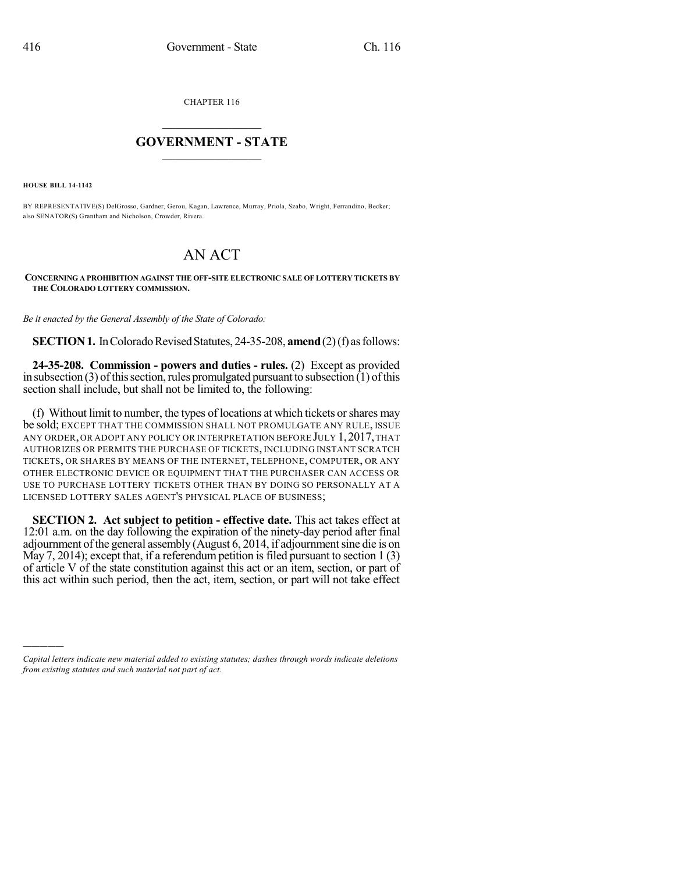CHAPTER 116

## $\mathcal{L}_\text{max}$  . The set of the set of the set of the set of the set of the set of the set of the set of the set of the set of the set of the set of the set of the set of the set of the set of the set of the set of the set **GOVERNMENT - STATE**  $\_$   $\_$

**HOUSE BILL 14-1142**

)))))

BY REPRESENTATIVE(S) DelGrosso, Gardner, Gerou, Kagan, Lawrence, Murray, Priola, Szabo, Wright, Ferrandino, Becker; also SENATOR(S) Grantham and Nicholson, Crowder, Rivera.

## AN ACT

## **CONCERNING A PROHIBITION AGAINST THE OFF-SITE ELECTRONIC SALE OF LOTTERY TICKETS BY THE COLORADO LOTTERY COMMISSION.**

*Be it enacted by the General Assembly of the State of Colorado:*

**SECTION 1.** In Colorado Revised Statutes, 24-35-208, **amend** (2)(f) as follows:

**24-35-208. Commission - powers and duties - rules.** (2) Except as provided in subsection  $(3)$  of this section, rules promulgated pursuant to subsection  $(1)$  of this section shall include, but shall not be limited to, the following:

(f) Without limit to number, the types of locations at which tickets orshares may be sold; EXCEPT THAT THE COMMISSION SHALL NOT PROMULGATE ANY RULE, ISSUE ANY ORDER,OR ADOPT ANY POLICY OR INTERPRETATION BEFORE JULY 1,2017,THAT AUTHORIZES OR PERMITS THE PURCHASE OF TICKETS, INCLUDING INSTANT SCRATCH TICKETS, OR SHARES BY MEANS OF THE INTERNET, TELEPHONE, COMPUTER, OR ANY OTHER ELECTRONIC DEVICE OR EQUIPMENT THAT THE PURCHASER CAN ACCESS OR USE TO PURCHASE LOTTERY TICKETS OTHER THAN BY DOING SO PERSONALLY AT A LICENSED LOTTERY SALES AGENT'S PHYSICAL PLACE OF BUSINESS;

**SECTION 2. Act subject to petition - effective date.** This act takes effect at 12:01 a.m. on the day following the expiration of the ninety-day period after final adjournment of the general assembly (August 6, 2014, if adjournment sine die is on May  $7, 2014$ ); except that, if a referendum petition is filed pursuant to section 1 (3) of article V of the state constitution against this act or an item, section, or part of this act within such period, then the act, item, section, or part will not take effect

*Capital letters indicate new material added to existing statutes; dashes through words indicate deletions from existing statutes and such material not part of act.*